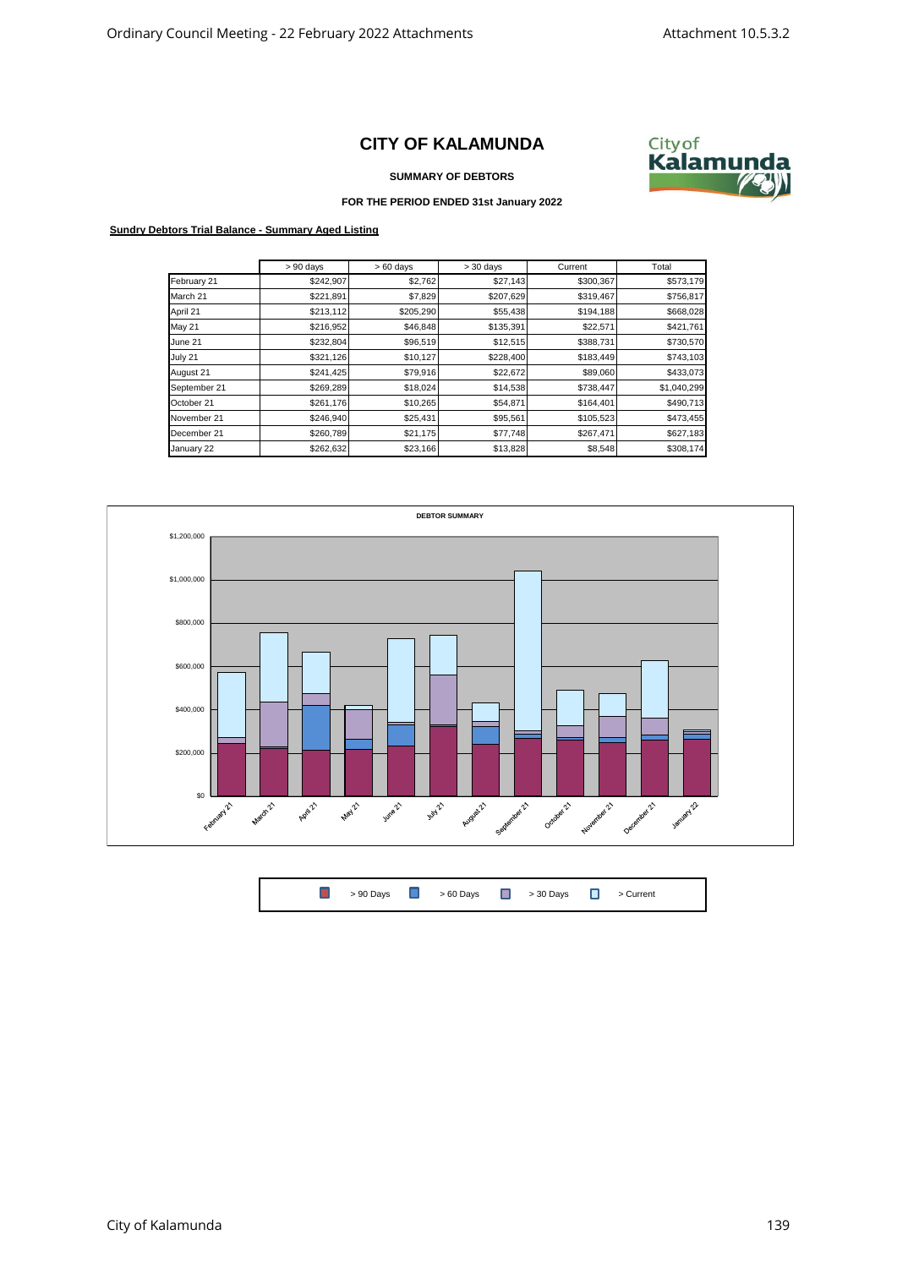## **CITY OF KALAMUNDA**



**SUMMARY OF DEBTORS**

## **FOR THE PERIOD ENDED 31st January 2022**

## **Sundry Debtors Trial Balance - Summary Aged Listing**

|               | $> 90$ days | $>60$ days | $>30$ days | Current   | Total       |
|---------------|-------------|------------|------------|-----------|-------------|
| February 21   | \$242,907   | \$2,762    | \$27,143   | \$300,367 | \$573,179   |
| March 21      | \$221,891   | \$7,829    | \$207,629  | \$319,467 | \$756,817   |
| April 21      | \$213,112   | \$205,290  | \$55,438   | \$194,188 | \$668,028   |
| <b>May 21</b> | \$216,952   | \$46,848   | \$135,391  | \$22,571  | \$421,761   |
| June 21       | \$232,804   | \$96,519   | \$12,515   | \$388,731 | \$730,570   |
| July 21       | \$321,126   | \$10,127   | \$228,400  | \$183,449 | \$743,103   |
| August 21     | \$241,425   | \$79,916   | \$22,672   | \$89,060  | \$433,073   |
| September 21  | \$269,289   | \$18,024   | \$14,538   | \$738,447 | \$1,040,299 |
| October 21    | \$261,176   | \$10,265   | \$54,871   | \$164,401 | \$490,713   |
| November 21   | \$246,940   | \$25,431   | \$95,561   | \$105,523 | \$473,455   |
| December 21   | \$260,789   | \$21,175   | \$77,748   | \$267,471 | \$627,183   |
| January 22    | \$262,632   | \$23,166   | \$13,828   | \$8,548   | \$308,174   |



 $\Box$ > 90 Days  $\begin{array}{ccc} \hline \end{array}$  > 60 Days  $\begin{array}{ccc} \hline \end{array}$  > 30 Days  $\begin{array}{ccc} \hline \end{array}$  > Current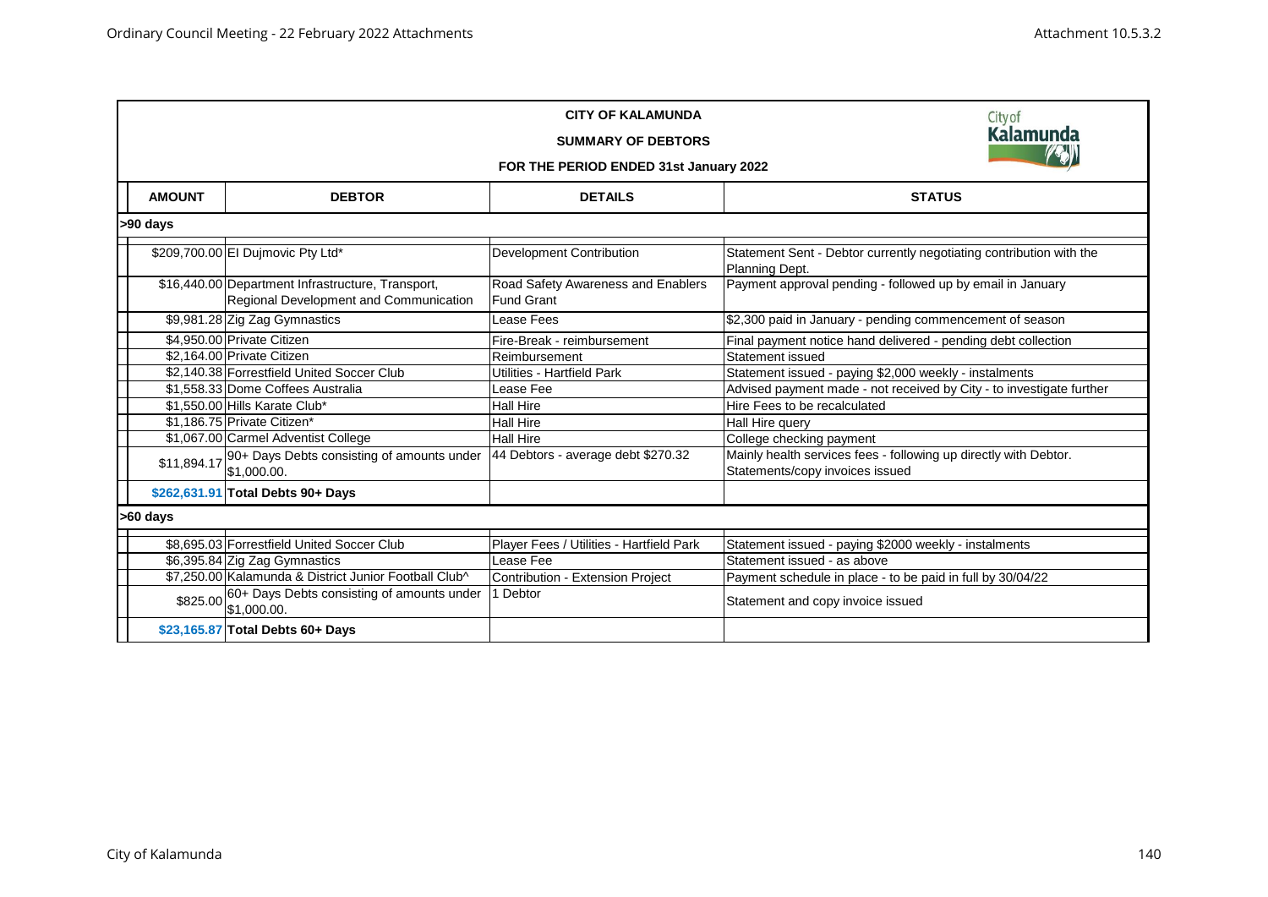|               | City of<br><b>Kalamunda</b><br>FOR THE PERIOD ENDED 31st January 2022                       |                                                         |                                                                                                     |  |  |  |  |
|---------------|---------------------------------------------------------------------------------------------|---------------------------------------------------------|-----------------------------------------------------------------------------------------------------|--|--|--|--|
| <b>AMOUNT</b> | <b>DEBTOR</b>                                                                               | <b>DETAILS</b>                                          | <b>STATUS</b>                                                                                       |  |  |  |  |
| >90 days      |                                                                                             |                                                         |                                                                                                     |  |  |  |  |
|               | \$209,700.00 El Dujmovic Pty Ltd*                                                           | <b>Development Contribution</b>                         | Statement Sent - Debtor currently negotiating contribution with the<br>Planning Dept.               |  |  |  |  |
|               | \$16,440.00 Department Infrastructure, Transport,<br>Regional Development and Communication | Road Safety Awareness and Enablers<br><b>Fund Grant</b> | Payment approval pending - followed up by email in January                                          |  |  |  |  |
|               | \$9,981.28 Zig Zag Gymnastics                                                               | Lease Fees                                              | \$2,300 paid in January - pending commencement of season                                            |  |  |  |  |
|               | \$4,950.00 Private Citizen                                                                  | Fire-Break - reimbursement                              | Final payment notice hand delivered - pending debt collection                                       |  |  |  |  |
|               | \$2,164.00 Private Citizen                                                                  | Reimbursement                                           | Statement issued                                                                                    |  |  |  |  |
|               | \$2,140.38 Forrestfield United Soccer Club                                                  | Utilities - Hartfield Park                              | Statement issued - paying \$2,000 weekly - instalments                                              |  |  |  |  |
|               | \$1.558.33 Dome Coffees Australia                                                           | Lease Fee                                               | Advised payment made - not received by City - to investigate further                                |  |  |  |  |
|               | \$1.550.00 Hills Karate Club*                                                               | <b>Hall Hire</b>                                        | Hire Fees to be recalculated                                                                        |  |  |  |  |
|               | \$1,186.75 Private Citizen*                                                                 | <b>Hall Hire</b>                                        | Hall Hire query                                                                                     |  |  |  |  |
|               | \$1,067.00 Carmel Adventist College                                                         | <b>Hall Hire</b>                                        | College checking payment                                                                            |  |  |  |  |
| \$11,894.17   | 90+ Days Debts consisting of amounts under<br>\$1,000.00.                                   | 44 Debtors - average debt \$270.32                      | Mainly health services fees - following up directly with Debtor.<br>Statements/copy invoices issued |  |  |  |  |
|               | \$262,631.91 Total Debts 90+ Days                                                           |                                                         |                                                                                                     |  |  |  |  |
| >60 days      |                                                                                             |                                                         |                                                                                                     |  |  |  |  |
|               | \$8.695.03 Forrestfield United Soccer Club                                                  | Player Fees / Utilities - Hartfield Park                | Statement issued - paying \$2000 weekly - instalments                                               |  |  |  |  |
|               | \$6,395.84 Zig Zag Gymnastics                                                               | Lease Fee                                               | Statement issued - as above                                                                         |  |  |  |  |
|               | \$7,250.00 Kalamunda & District Junior Football Club^                                       | Contribution - Extension Project                        | Payment schedule in place - to be paid in full by 30/04/22                                          |  |  |  |  |
|               | \$825.00 60+ Days Debts consisting of amounts under<br>\$1,000.00.                          | 1 Debtor                                                | Statement and copy invoice issued                                                                   |  |  |  |  |
|               | \$23,165.87 Total Debts 60+ Days                                                            |                                                         |                                                                                                     |  |  |  |  |